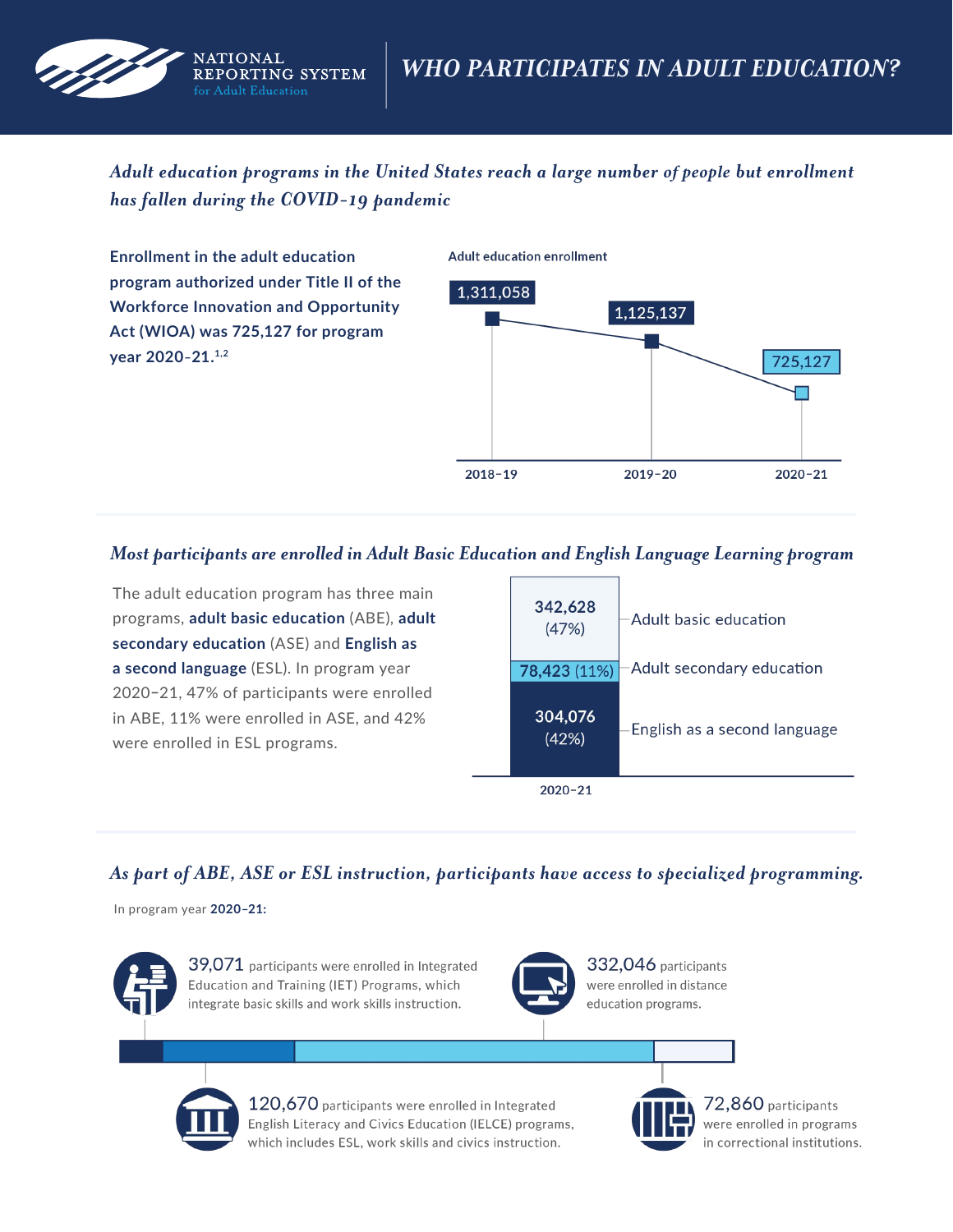

*Adult education programs in the United States reach a large number of people but enrollment has fallen during the COVID-19 pandemic* 

**Enrollment in the adult education program authorized under Title II of the Workforce Innovation and Opportunity Act (WIOA) was 725,127 for program year 2020–21.1,2** 

**Adult education enrollment** 



## *Most participants are enrolled in Adult Basic Education and English Language Learning program*

The adult education program has three main programs, **adult basic education** (ABE), **adult secondary education** (ASE) and **English as a second language** (ESL). In program year 2020**–**21, 47% of participants were enrolled in ABE, 11% were enrolled in ASE, and 42% were enrolled in ESL programs.



## *As part of ABE, ASE or ESL instruction, participants have access to specialized programming.*

In program year **2020–21:** 



39,071 participants were enrolled in Integrated Education and Training (IET) Programs, which integrate basic skills and work skills instruction.



332,046 participants were enrolled in distance education programs.



120,670 participants were enrolled in Integrated English Literacy and Civics Education (IELCE) programs, which includes ESL, work skills and civics instruction.



 $72,860$  participants were enrolled in programs in correctional institutions.